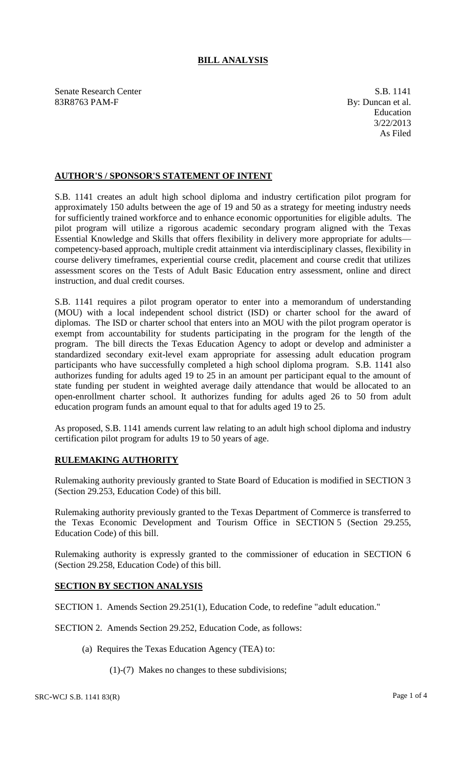## **BILL ANALYSIS**

Senate Research Center S.B. 1141 83R8763 PAM-F By: Duncan et al.

Education 3/22/2013 As Filed

## **AUTHOR'S / SPONSOR'S STATEMENT OF INTENT**

S.B. 1141 creates an adult high school diploma and industry certification pilot program for approximately 150 adults between the age of 19 and 50 as a strategy for meeting industry needs for sufficiently trained workforce and to enhance economic opportunities for eligible adults. The pilot program will utilize a rigorous academic secondary program aligned with the Texas Essential Knowledge and Skills that offers flexibility in delivery more appropriate for adults competency-based approach, multiple credit attainment via interdisciplinary classes, flexibility in course delivery timeframes, experiential course credit, placement and course credit that utilizes assessment scores on the Tests of Adult Basic Education entry assessment, online and direct instruction, and dual credit courses.

S.B. 1141 requires a pilot program operator to enter into a memorandum of understanding (MOU) with a local independent school district (ISD) or charter school for the award of diplomas. The ISD or charter school that enters into an MOU with the pilot program operator is exempt from accountability for students participating in the program for the length of the program. The bill directs the Texas Education Agency to adopt or develop and administer a standardized secondary exit-level exam appropriate for assessing adult education program participants who have successfully completed a high school diploma program. S.B. 1141 also authorizes funding for adults aged 19 to 25 in an amount per participant equal to the amount of state funding per student in weighted average daily attendance that would be allocated to an open-enrollment charter school. It authorizes funding for adults aged 26 to 50 from adult education program funds an amount equal to that for adults aged 19 to 25.

As proposed, S.B. 1141 amends current law relating to an adult high school diploma and industry certification pilot program for adults 19 to 50 years of age.

## **RULEMAKING AUTHORITY**

Rulemaking authority previously granted to State Board of Education is modified in SECTION 3 (Section 29.253, Education Code) of this bill.

Rulemaking authority previously granted to the Texas Department of Commerce is transferred to the Texas Economic Development and Tourism Office in SECTION 5 (Section 29.255, Education Code) of this bill.

Rulemaking authority is expressly granted to the commissioner of education in SECTION 6 (Section 29.258, Education Code) of this bill.

## **SECTION BY SECTION ANALYSIS**

SECTION 1. Amends Section 29.251(1), Education Code, to redefine "adult education."

SECTION 2. Amends Section 29.252, Education Code, as follows:

- (a) Requires the Texas Education Agency (TEA) to:
	- (1)-(7) Makes no changes to these subdivisions;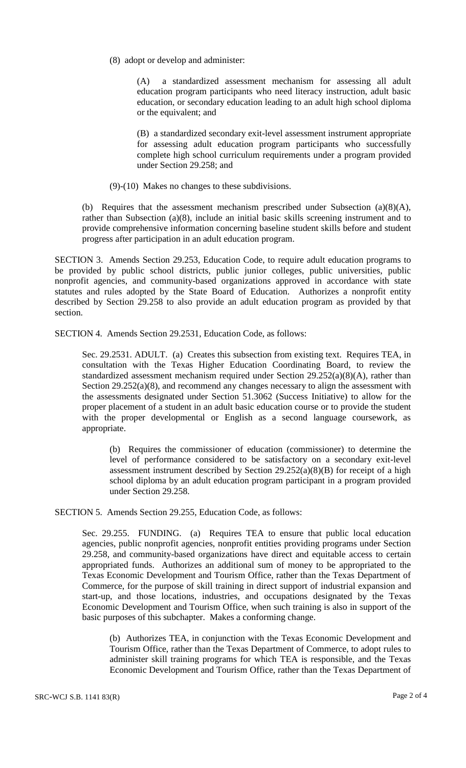(8) adopt or develop and administer:

(A) a standardized assessment mechanism for assessing all adult education program participants who need literacy instruction, adult basic education, or secondary education leading to an adult high school diploma or the equivalent; and

(B) a standardized secondary exit-level assessment instrument appropriate for assessing adult education program participants who successfully complete high school curriculum requirements under a program provided under Section 29.258; and

(9)-(10) Makes no changes to these subdivisions.

(b) Requires that the assessment mechanism prescribed under Subsection (a)(8)(A), rather than Subsection (a)(8), include an initial basic skills screening instrument and to provide comprehensive information concerning baseline student skills before and student progress after participation in an adult education program.

SECTION 3. Amends Section 29.253, Education Code, to require adult education programs to be provided by public school districts, public junior colleges, public universities, public nonprofit agencies, and community-based organizations approved in accordance with state statutes and rules adopted by the State Board of Education. Authorizes a nonprofit entity described by Section 29.258 to also provide an adult education program as provided by that section.

SECTION 4. Amends Section 29.2531, Education Code, as follows:

Sec. 29.2531. ADULT. (a) Creates this subsection from existing text. Requires TEA, in consultation with the Texas Higher Education Coordinating Board, to review the standardized assessment mechanism required under Section 29.252(a)(8)(A), rather than Section 29.252(a)(8), and recommend any changes necessary to align the assessment with the assessments designated under Section 51.3062 (Success Initiative) to allow for the proper placement of a student in an adult basic education course or to provide the student with the proper developmental or English as a second language coursework, as appropriate.

(b) Requires the commissioner of education (commissioner) to determine the level of performance considered to be satisfactory on a secondary exit-level assessment instrument described by Section  $29.252(a)(8)(B)$  for receipt of a high school diploma by an adult education program participant in a program provided under Section 29.258.

SECTION 5. Amends Section 29.255, Education Code, as follows:

Sec. 29.255. FUNDING. (a) Requires TEA to ensure that public local education agencies, public nonprofit agencies, nonprofit entities providing programs under Section 29.258, and community-based organizations have direct and equitable access to certain appropriated funds. Authorizes an additional sum of money to be appropriated to the Texas Economic Development and Tourism Office, rather than the Texas Department of Commerce, for the purpose of skill training in direct support of industrial expansion and start-up, and those locations, industries, and occupations designated by the Texas Economic Development and Tourism Office, when such training is also in support of the basic purposes of this subchapter. Makes a conforming change.

(b) Authorizes TEA, in conjunction with the Texas Economic Development and Tourism Office, rather than the Texas Department of Commerce, to adopt rules to administer skill training programs for which TEA is responsible, and the Texas Economic Development and Tourism Office, rather than the Texas Department of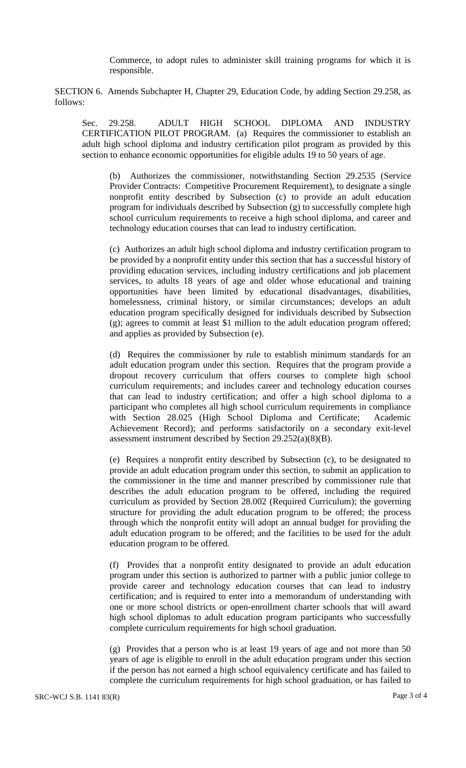Commerce, to adopt rules to administer skill training programs for which it is responsible.

SECTION 6. Amends Subchapter H, Chapter 29, Education Code, by adding Section 29.258, as follows:

Sec. 29.258. ADULT HIGH SCHOOL DIPLOMA AND INDUSTRY CERTIFICATION PILOT PROGRAM. (a) Requires the commissioner to establish an adult high school diploma and industry certification pilot program as provided by this section to enhance economic opportunities for eligible adults 19 to 50 years of age.

(b) Authorizes the commissioner, notwithstanding Section 29.2535 (Service Provider Contracts: Competitive Procurement Requirement), to designate a single nonprofit entity described by Subsection (c) to provide an adult education program for individuals described by Subsection (g) to successfully complete high school curriculum requirements to receive a high school diploma, and career and technology education courses that can lead to industry certification.

(c) Authorizes an adult high school diploma and industry certification program to be provided by a nonprofit entity under this section that has a successful history of providing education services, including industry certifications and job placement services, to adults 18 years of age and older whose educational and training opportunities have been limited by educational disadvantages, disabilities, homelessness, criminal history, or similar circumstances; develops an adult education program specifically designed for individuals described by Subsection (g); agrees to commit at least \$1 million to the adult education program offered; and applies as provided by Subsection (e).

(d) Requires the commissioner by rule to establish minimum standards for an adult education program under this section. Requires that the program provide a dropout recovery curriculum that offers courses to complete high school curriculum requirements; and includes career and technology education courses that can lead to industry certification; and offer a high school diploma to a participant who completes all high school curriculum requirements in compliance with Section 28.025 (High School Diploma and Certificate; Academic Achievement Record); and performs satisfactorily on a secondary exit-level assessment instrument described by Section 29.252(a)(8)(B).

(e) Requires a nonprofit entity described by Subsection (c), to be designated to provide an adult education program under this section, to submit an application to the commissioner in the time and manner prescribed by commissioner rule that describes the adult education program to be offered, including the required curriculum as provided by Section 28.002 (Required Curriculum); the governing structure for providing the adult education program to be offered; the process through which the nonprofit entity will adopt an annual budget for providing the adult education program to be offered; and the facilities to be used for the adult education program to be offered.

(f) Provides that a nonprofit entity designated to provide an adult education program under this section is authorized to partner with a public junior college to provide career and technology education courses that can lead to industry certification; and is required to enter into a memorandum of understanding with one or more school districts or open-enrollment charter schools that will award high school diplomas to adult education program participants who successfully complete curriculum requirements for high school graduation.

(g) Provides that a person who is at least 19 years of age and not more than 50 years of age is eligible to enroll in the adult education program under this section if the person has not earned a high school equivalency certificate and has failed to complete the curriculum requirements for high school graduation, or has failed to